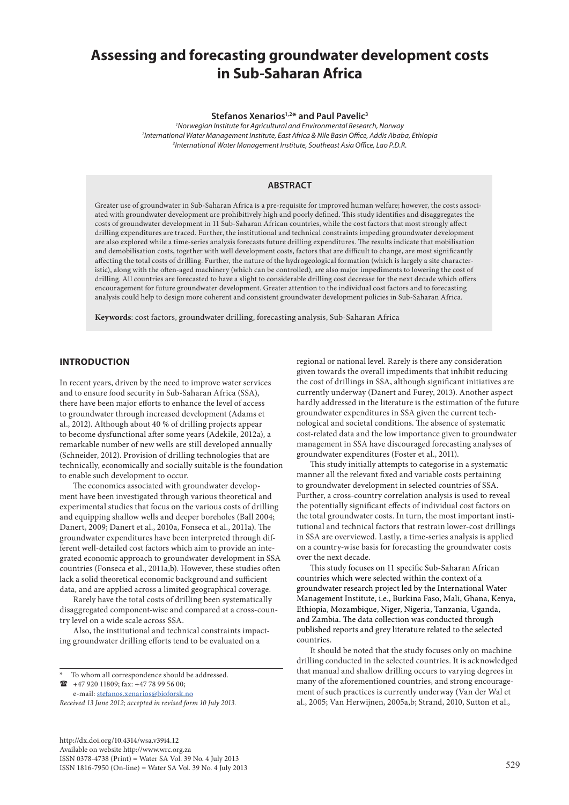# **Assessing and forecasting groundwater development costs in Sub-Saharan Africa**

## **Stefanos Xenarios1,2\* and Paul Pavelic3**

*1 Norwegian Institute for Agricultural and Environmental Research, Norway 2 International Water Management Institute, East Africa & Nile Basin Office, Addis Ababa, Ethiopia 3 International Water Management Institute, Southeast Asia Office, Lao P.D.R.*

## **ABSTRACT**

Greater use of groundwater in Sub-Saharan Africa is a pre-requisite for improved human welfare; however, the costs associated with groundwater development are prohibitively high and poorly defined. This study identifies and disaggregates the costs of groundwater development in 11 Sub-Saharan African countries, while the cost factors that most strongly affect drilling expenditures are traced. Further, the institutional and technical constraints impeding groundwater development are also explored while a time-series analysis forecasts future drilling expenditures. The results indicate that mobilisation and demobilisation costs, together with well development costs, factors that are difficult to change, are most significantly affecting the total costs of drilling. Further, the nature of the hydrogeological formation (which is largely a site characteristic), along with the often-aged machinery (which can be controlled), are also major impediments to lowering the cost of drilling. All countries are forecasted to have a slight to considerable drilling cost decrease for the next decade which offers encouragement for future groundwater development. Greater attention to the individual cost factors and to forecasting analysis could help to design more coherent and consistent groundwater development policies in Sub-Saharan Africa.

**Keywords**: cost factors, groundwater drilling, forecasting analysis, Sub-Saharan Africa

# **INTRODUCTION**

In recent years, driven by the need to improve water services and to ensure food security in Sub-Saharan Africa (SSA), there have been major efforts to enhance the level of access to groundwater through increased development (Adams et al., 2012). Although about 40 % of drilling projects appear to become dysfunctional after some years (Adekile, 2012a), a remarkable number of new wells are still developed annually (Schneider, 2012). Provision of drilling technologies that are technically, economically and socially suitable is the foundation to enable such development to occur.

The economics associated with groundwater development have been investigated through various theoretical and experimental studies that focus on the various costs of drilling and equipping shallow wells and deeper boreholes (Ball 2004; Danert, 2009; Danert et al., 2010a, Fonseca et al., 2011a). The groundwater expenditures have been interpreted through different well-detailed cost factors which aim to provide an integrated economic approach to groundwater development in SSA countries (Fonseca et al., 2011a,b). However, these studies often lack a solid theoretical economic background and sufficient data, and are applied across a limited geographical coverage.

Rarely have the total costs of drilling been systematically disaggregated component-wise and compared at a cross-country level on a wide scale across SSA.

Also, the institutional and technical constraints impacting groundwater drilling efforts tend to be evaluated on a

*Received 13 June 2012; accepted in revised form 10 July 2013.*

http://dx.doi.org/10.4314/wsa.v39i4.12 Available on website http://www.wrc.org.za ISSN 0378-4738 (Print) = Water SA Vol. 39 No. 4 July 2013  $1$ SSN 1816-7950 (On-line) = Water SA Vol. 39 No. 4 July 2013 529

regional or national level. Rarely is there any consideration given towards the overall impediments that inhibit reducing the cost of drillings in SSA, although significant initiatives are currently underway (Danert and Furey, 2013). Another aspect hardly addressed in the literature is the estimation of the future groundwater expenditures in SSA given the current technological and societal conditions. The absence of systematic cost-related data and the low importance given to groundwater management in SSA have discouraged forecasting analyses of groundwater expenditures (Foster et al., 2011).

This study initially attempts to categorise in a systematic manner all the relevant fixed and variable costs pertaining to groundwater development in selected countries of SSA. Further, a cross-country correlation analysis is used to reveal the potentially significant effects of individual cost factors on the total groundwater costs. In turn, the most important institutional and technical factors that restrain lower-cost drillings in SSA are overviewed. Lastly, a time-series analysis is applied on a country-wise basis for forecasting the groundwater costs over the next decade.

This study focuses on 11 specific Sub-Saharan African countries which were selected within the context of a groundwater research project led by the International Water Management Institute, i.e., Burkina Faso, Mali, Ghana, Kenya, Ethiopia, Mozambique, Niger, Nigeria, Tanzania, Uganda, and Zambia. The data collection was conducted through published reports and grey literature related to the selected countries.

It should be noted that the study focuses only on machine drilling conducted in the selected countries. It is acknowledged that manual and shallow drilling occurs to varying degrees in many of the aforementioned countries, and strong encouragement of such practices is currently underway (Van der Wal et al., 2005; Van Herwijnen, 2005a,b; Strand, 2010, Sutton et al.,

To whom all correspondence should be addressed.  $\bullet$  +47 920 11809; fax: +47 78 99 56 00; e-mail: stefanos.xenarios@bioforsk.no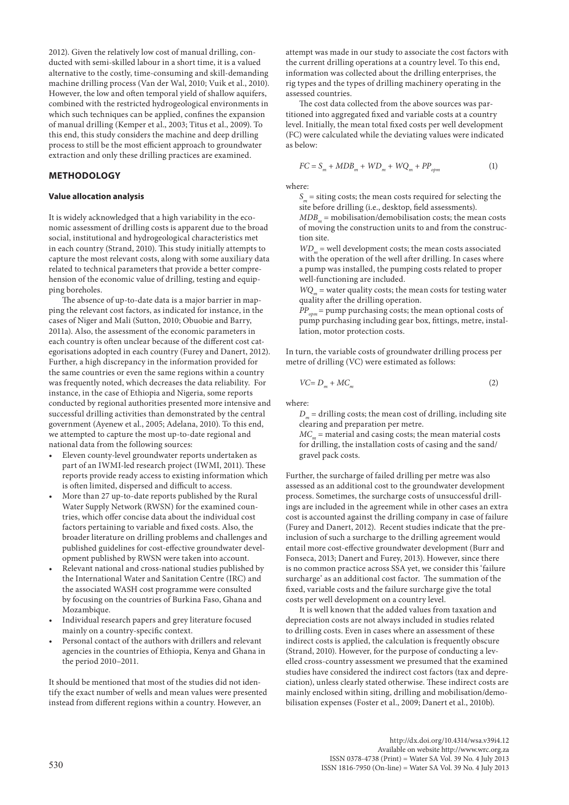2012). Given the relatively low cost of manual drilling, conducted with semi-skilled labour in a short time, it is a valued alternative to the costly, time-consuming and skill-demanding machine drilling process (Van der Wal, 2010; Vuik et al., 2010). However, the low and often temporal yield of shallow aquifers, combined with the restricted hydrogeological environments in which such techniques can be applied, confines the expansion of manual drilling (Kemper et al., 2003; Titus et al., 2009). To this end, this study considers the machine and deep drilling process to still be the most efficient approach to groundwater extraction and only these drilling practices are examined.

## **METHODOLOGY**

#### **Value allocation analysis**

It is widely acknowledged that a high variability in the economic assessment of drilling costs is apparent due to the broad social, institutional and hydrogeological characteristics met in each country (Strand, 2010). This study initially attempts to capture the most relevant costs, along with some auxiliary data related to technical parameters that provide a better comprehension of the economic value of drilling, testing and equipping boreholes.

The absence of up-to-date data is a major barrier in mapping the relevant cost factors, as indicated for instance, in the cases of Niger and Mali (Sutton, 2010; Obuobie and Barry, 2011a). Also, the assessment of the economic parameters in each country is often unclear because of the different cost categorisations adopted in each country (Furey and Danert, 2012). Further, a high discrepancy in the information provided for the same countries or even the same regions within a country was frequently noted, which decreases the data reliability. For instance, in the case of Ethiopia and Nigeria, some reports conducted by regional authorities presented more intensive and successful drilling activities than demonstrated by the central government (Ayenew et al., 2005; Adelana, 2010). To this end, we attempted to capture the most up-to-date regional and national data from the following sources:

- Eleven county-level groundwater reports undertaken as part of an IWMI-led research project (IWMI, 2011). These reports provide ready access to existing information which is often limited, dispersed and difficult to access.
- More than 27 up-to-date reports published by the Rural Water Supply Network (RWSN) for the examined countries, which offer concise data about the individual cost factors pertaining to variable and fixed costs. Also, the broader literature on drilling problems and challenges and published guidelines for cost-effective groundwater development published by RWSN were taken into account.
- Relevant national and cross-national studies published by the International Water and Sanitation Centre (IRC) and the associated WASH cost programme were consulted by focusing on the countries of Burkina Faso, Ghana and Mozambique.
- Individual research papers and grey literature focused mainly on a country-specific context.
- Personal contact of the authors with drillers and relevant agencies in the countries of Ethiopia, Kenya and Ghana in the period 2010–2011.

It should be mentioned that most of the studies did not identify the exact number of wells and mean values were presented instead from different regions within a country. However, an

attempt was made in our study to associate the cost factors with the current drilling operations at a country level. To this end, information was collected about the drilling enterprises, the rig types and the types of drilling machinery operating in the assessed countries.

The cost data collected from the above sources was partitioned into aggregated fixed and variable costs at a country level. Initially, the mean total fixed costs per well development (FC) were calculated while the deviating values were indicated as below:

$$
FC = S_m + MDB_m + WD_m + WQ_m + PP_{opm}
$$
 (1)

where:

*S<sub>m</sub>* = siting costs; the mean costs required for selecting the site before drilling (i.e., desktop, field assessments).

 $MDB =$ mobilisation/demobilisation costs; the mean costs of moving the construction units to and from the construction site.

*WD*<sub>*m*</sub> = well development costs; the mean costs associated with the operation of the well after drilling. In cases where a pump was installed, the pumping costs related to proper well-functioning are included.

 $WQ_m$  = water quality costs; the mean costs for testing water quality after the drilling operation.

 $PP_{\text{max}}$  = pump purchasing costs; the mean optional costs of pump purchasing including gear box, fittings, metre, installation, motor protection costs.

In turn, the variable costs of groundwater drilling process per metre of drilling (VC) were estimated as follows:

$$
VC = D_m + MC_m \tag{2}
$$

where:

 $D_m$  = drilling costs; the mean cost of drilling, including site clearing and preparation per metre.

 $MC_m$  = material and casing costs; the mean material costs for drilling, the installation costs of casing and the sand/ gravel pack costs.

Further, the surcharge of failed drilling per metre was also assessed as an additional cost to the groundwater development process. Sometimes, the surcharge costs of unsuccessful drillings are included in the agreement while in other cases an extra cost is accounted against the drilling company in case of failure (Furey and Danert, 2012). Recent studies indicate that the preinclusion of such a surcharge to the drilling agreement would entail more cost-effective groundwater development (Burr and Fonseca, 2013; Danert and Furey, 2013). However, since there is no common practice across SSA yet, we consider this 'failure surcharge' as an additional cost factor. The summation of the fixed, variable costs and the failure surcharge give the total costs per well development on a country level.

It is well known that the added values from taxation and depreciation costs are not always included in studies related to drilling costs. Even in cases where an assessment of these indirect costs is applied, the calculation is frequently obscure (Strand, 2010). However, for the purpose of conducting a levelled cross-country assessment we presumed that the examined studies have considered the indirect cost factors (tax and depreciation), unless clearly stated otherwise. These indirect costs are mainly enclosed within siting, drilling and mobilisation/demobilisation expenses (Foster et al., 2009; Danert et al., 2010b).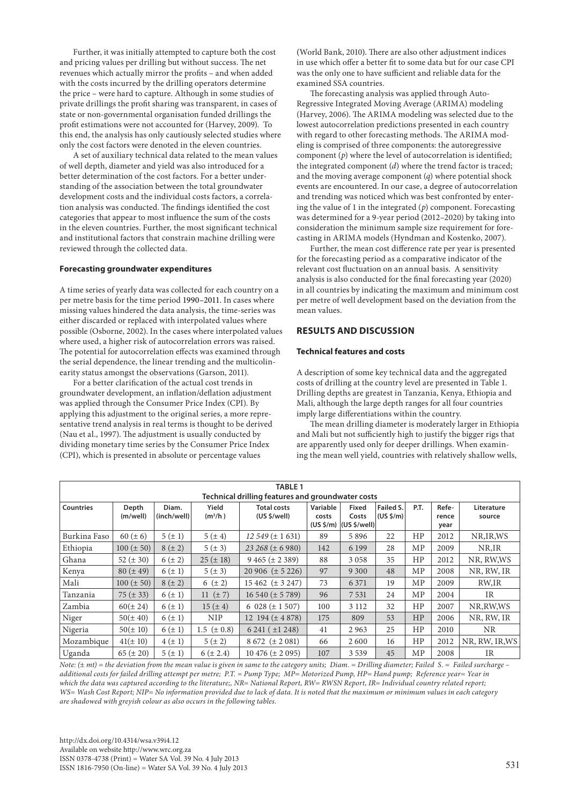Further, it was initially attempted to capture both the cost and pricing values per drilling but without success. The net revenues which actually mirror the profits – and when added with the costs incurred by the drilling operators determine the price – were hard to capture. Although in some studies of private drillings the profit sharing was transparent, in cases of state or non-governmental organisation funded drillings the profit estimations were not accounted for (Harvey, 2009). To this end, the analysis has only cautiously selected studies where only the cost factors were denoted in the eleven countries.

A set of auxiliary technical data related to the mean values of well depth, diameter and yield was also introduced for a better determination of the cost factors. For a better understanding of the association between the total groundwater development costs and the individual costs factors, a correlation analysis was conducted. The findings identified the cost categories that appear to most influence the sum of the costs in the eleven countries. Further, the most significant technical and institutional factors that constrain machine drilling were reviewed through the collected data.

#### **Forecasting groundwater expenditures**

A time series of yearly data was collected for each country on a per metre basis for the time period 1990–2011. In cases where missing values hindered the data analysis, the time-series was either discarded or replaced with interpolated values where possible (Osborne, 2002). In the cases where interpolated values where used, a higher risk of autocorrelation errors was raised. The potential for autocorrelation effects was examined through the serial dependence, the linear trending and the multicolinearity status amongst the observations (Garson, 2011).

For a better clarification of the actual cost trends in groundwater development, an inflation/deflation adjustment was applied through the Consumer Price Index (CPI). By applying this adjustment to the original series, a more representative trend analysis in real terms is thought to be derived (Nau et al., 1997). The adjustment is usually conducted by dividing monetary time series by the Consumer Price Index (CPI), which is presented in absolute or percentage values

(World Bank, 2010). There are also other adjustment indices in use which offer a better fit to some data but for our case CPI was the only one to have sufficient and reliable data for the examined SSA countries.

The forecasting analysis was applied through Auto-Regressive Integrated Moving Average (ARIMA) modeling (Harvey, 2006). The ARIMA modeling was selected due to the lowest autocorrelation predictions presented in each country with regard to other forecasting methods. The ARIMA modeling is comprised of three components: the autoregressive component (*p*) where the level of autocorrelation is identified; the integrated component (*d*) where the trend factor is traced; and the moving average component (*q*) where potential shock events are encountered. In our case, a degree of autocorrelation and trending was noticed which was best confronted by entering the value of 1 in the integrated (*p*) component. Forecasting was determined for a 9-year period (2012–2020) by taking into consideration the minimum sample size requirement for forecasting in ARIMA models (Hyndman and Kostenko, 2007).

Further, the mean cost difference rate per year is presented for the forecasting period as a comparative indicator of the relevant cost fluctuation on an annual basis. A sensitivity analysis is also conducted for the final forecasting year (2020) in all countries by indicating the maximum and minimum cost per metre of well development based on the deviation from the mean values.

# **RESULTS AND DISCUSSION**

# **Technical features and costs**

A description of some key technical data and the aggregated costs of drilling at the country level are presented in Table 1. Drilling depths are greatest in Tanzania, Kenya, Ethiopia and Mali, although the large depth ranges for all four countries imply large differentiations within the country.

The mean drilling diameter is moderately larger in Ethiopia and Mali but not sufficiently high to justify the bigger rigs that are apparently used only for deeper drillings. When examining the mean well yield, countries with relatively shallow wells,

| <b>TABLE 1</b>                                    |                   |                      |                    |                                    |                   |                                                  |                                       |      |                        |                      |
|---------------------------------------------------|-------------------|----------------------|--------------------|------------------------------------|-------------------|--------------------------------------------------|---------------------------------------|------|------------------------|----------------------|
| Technical drilling features and groundwater costs |                   |                      |                    |                                    |                   |                                                  |                                       |      |                        |                      |
| <b>Countries</b>                                  | Depth<br>(m/well) | Diam.<br>(inch/well) | Yield<br>$(m^3/h)$ | <b>Total costs</b><br>(US \$/well) | Variable<br>costs | Fixed<br>Costs<br>$(US \sin(US)$ $ (US \sin(US)$ | Failed S.<br>$(US \frac{2}{3}$ /m $)$ | P.T. | Refe-<br>rence<br>year | Literature<br>source |
| Burkina Faso                                      | 60 ( $\pm$ 6)     | 5(±1)                | 5(±4)              | $12549 (\pm 1631)$                 | 89                | 5896                                             | 22                                    | HP   | 2012                   | NR, IR, WS           |
| Ethiopia                                          | $100 (\pm 50)$    | $8 (\pm 2)$          | $5(\pm 3)$         | 23 268 ( $\pm$ 6 980)              | 142               | 6 1 9 9                                          | 28                                    | MP   | 2009                   | NR,IR                |
| Ghana                                             | 52 $(\pm 30)$     | $6 (\pm 2)$          | $25 (\pm 18)$      | $9465 (\pm 2389)$                  | 88                | 3 0 5 8                                          | 35                                    | HP   | 2012                   | NR, RW,WS            |
| Kenya                                             | $80 (\pm 49)$     | $6(\pm 1)$           | $5(\pm 3)$         | $20\,906 \ (\pm 5\,226)$           | 97                | 9 3 0 0                                          | 48                                    | MP   | 2008                   | NR, RW, IR           |
| Mali                                              | $100 (\pm 50)$    | $8 (\pm 2)$          | 6 $(\pm 2)$        | $15\,462~(\pm 3\,247)$             | 73                | 6 3 7 1                                          | 19                                    | MP   | 2009                   | RW,IR                |
| Tanzania                                          | 75 $(\pm 33)$     | $6(\pm 1)$           | 11 $(\pm 7)$       | $16540 (\pm 5789)$                 | 96                | 7 5 3 1                                          | 24                                    | MP   | 2004                   | IR                   |
| Zambia                                            | $60 (\pm 24)$     | $6(\pm 1)$           | $15 (\pm 4)$       | 6 028 $(\pm 1507)$                 | 100               | 3 1 1 2                                          | 32                                    | HP   | 2007                   | NR, RW, WS           |
| Niger                                             | $50 (\pm 40)$     | $6(\pm 1)$           | <b>NIP</b>         | 12 194 $(\pm 4878)$                | 175               | 809                                              | 53                                    | HP   | 2006                   | NR, RW, IR           |
| Nigeria                                           | $50 (\pm 10)$     | $6(\pm 1)$           | 1.5 ( $\pm$ 0.8)   | $6241 (\pm 1248)$                  | 41                | 2963                                             | 25                                    | HP   | 2010                   | NR.                  |
| Mozambique                                        | $41(\pm 10)$      | $4(\pm 1)$           | 5(± 2)             | $8672 (\pm 2081)$                  | 66                | 2600                                             | 16                                    | HP   | 2012                   | NR, RW, IR, WS       |
| Uganda                                            | 65 $(\pm 20)$     | 5(±1)                | $6 (\pm 2.4)$      | 10 476 ( $\pm$ 2 095)              | 107               | 3 5 3 9                                          | 45                                    | MP   | 2008                   | <b>IR</b>            |

*Note: (± mt) = the deviation from the mean value is given in same to the category units; Diam. = Drilling diameter; Failed S. = Failed surcharge – additional costs for failed drilling attempt per metre; P.T. = Pump Type; MP= Motorized Pump, HP= Hand pump; Reference year= Year in*  which the data was captured according to the literature;, NR= National Report, RW= RWSN Report, IR= Individual country related report; *WS= Wash Cost Report; NIP= No information provided due to lack of data. It is noted that the maximum or minimum values in each category are shadowed with greyish colour as also occurs in the following tables.*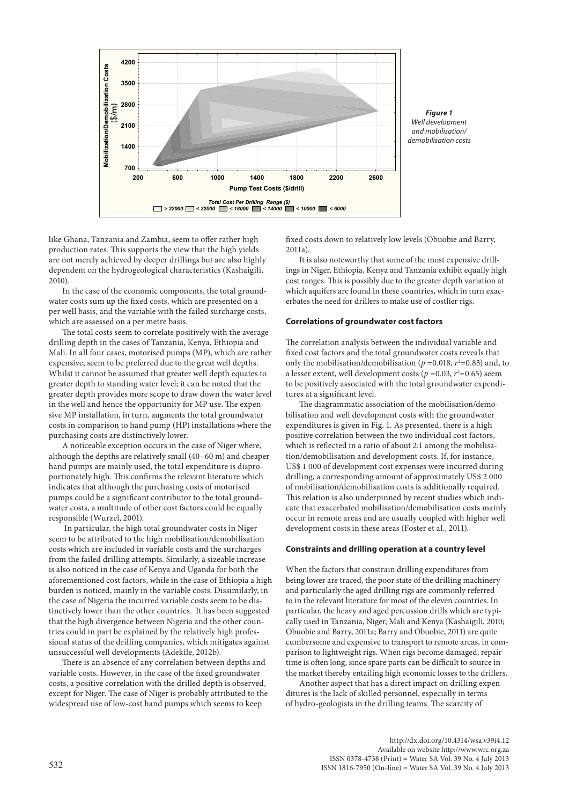

*Figure 1 Well development and mobilisation/ demobilisation costs*

like Ghana, Tanzania and Zambia, seem to offer rather high production rates. This supports the view that the high yields are not merely achieved by deeper drillings but are also highly dependent on the hydrogeological characteristics (Kashaigili, 2010).

In the case of the economic components, the total groundwater costs sum up the fixed costs, which are presented on a per well basis, and the variable with the failed surcharge costs, which are assessed on a per metre basis.

The total costs seem to correlate positively with the average drilling depth in the cases of Tanzania, Kenya, Ethiopia and Mali. In all four cases, motorised pumps (MP), which are rather expensive, seem to be preferred due to the great well depths. Whilst it cannot be assumed that greater well depth equates to greater depth to standing water level; it can be noted that the greater depth provides more scope to draw down the water level in the well and hence the opportunity for MP use. The expensive MP installation, in turn, augments the total groundwater costs in comparison to hand pump (HP) installations where the purchasing costs are distinctively lower.

A noticeable exception occurs in the case of Niger where, although the depths are relatively small (40–60 m) and cheaper hand pumps are mainly used, the total expenditure is disproportionately high. This confirms the relevant literature which indicates that although the purchasing costs of motorised pumps could be a significant contributor to the total groundwater costs, a multitude of other cost factors could be equally responsible (Wurzel, 2001).

 In particular, the high total groundwater costs in Niger seem to be attributed to the high mobilisation/demobilisation costs which are included in variable costs and the surcharges from the failed drilling attempts. Similarly, a sizeable increase is also noticed in the case of Kenya and Uganda for both the aforementioned cost factors, while in the case of Ethiopia a high burden is noticed, mainly in the variable costs. Dissimilarly, in the case of Nigeria the incurred variable costs seem to be distinctively lower than the other countries. It has been suggested that the high divergence between Nigeria and the other countries could in part be explained by the relatively high professional status of the drilling companies, which mitigates against unsuccessful well developments (Adekile, 2012b).

There is an absence of any correlation between depths and variable costs. However, in the case of the fixed groundwater costs, a positive correlation with the drilled depth is observed, except for Niger. The case of Niger is probably attributed to the widespread use of low-cost hand pumps which seems to keep

fixed costs down to relatively low levels (Obuobie and Barry, 2011a).

It is also noteworthy that some of the most expensive drillings in Niger, Ethiopia, Kenya and Tanzania exhibit equally high cost ranges. This is possibly due to the greater depth variation at which aquifers are found in these countries, which in turn exacerbates the need for drillers to make use of costlier rigs.

#### **Correlations of groundwater cost factors**

The correlation analysis between the individual variable and fixed cost factors and the total groundwater costs reveals that only the mobilisation/demobilisation ( $p = 0.018$ ,  $r^2 = 0.83$ ) and, to a lesser extent, well development costs ( $p = 0.03$ ,  $r^2 = 0.65$ ) seem to be positively associated with the total groundwater expenditures at a significant level.

The diagrammatic association of the mobilisation/demobilisation and well development costs with the groundwater expenditures is given in Fig. 1. As presented, there is a high positive correlation between the two individual cost factors, which is reflected in a ratio of about 2:1 among the mobilisation/demobilisation and development costs. If, for instance, US\$ 1 000 of development cost expenses were incurred during drilling, a corresponding amount of approximately US\$ 2 000 of mobilisation/demobilisation costs is additionally required. This relation is also underpinned by recent studies which indicate that exacerbated mobilisation/demobilisation costs mainly occur in remote areas and are usually coupled with higher well development costs in these areas (Foster et al., 2011).

#### **Constraints and drilling operation at a country level**

When the factors that constrain drilling expenditures from being lower are traced, the poor state of the drilling machinery and particularly the aged drilling rigs are commonly referred to in the relevant literature for most of the eleven countries. In particular, the heavy and aged percussion drills which are typically used in Tanzania, Niger, Mali and Kenya (Kashaigili, 2010; Obuobie and Barry, 2011a; Barry and Obuobie, 2011) are quite cumbersome and expensive to transport to remote areas, in comparison to lightweight rigs. When rigs become damaged, repair time is often long, since spare parts can be difficult to source in the market thereby entailing high economic losses to the drillers.

Another aspect that has a direct impact on drilling expenditures is the lack of skilled personnel, especially in terms of hydro-geologists in the drilling teams. The scarcity of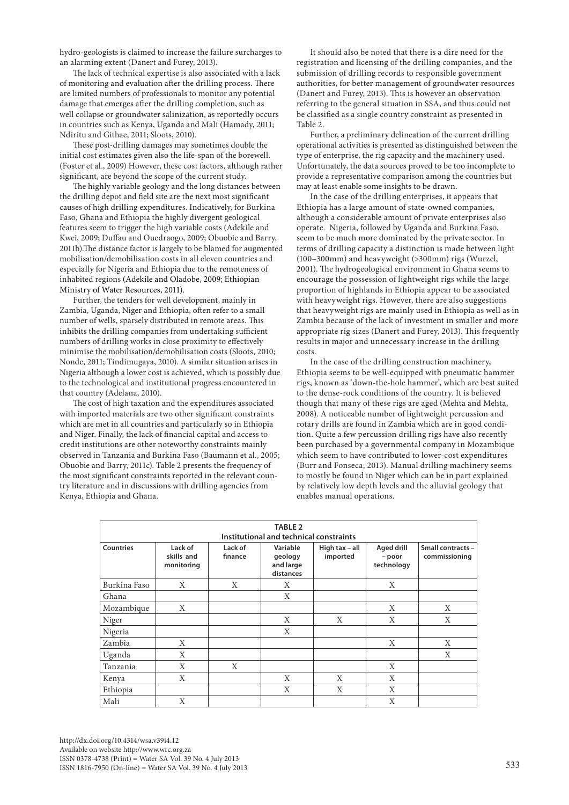hydro-geologists is claimed to increase the failure surcharges to an alarming extent (Danert and Furey, 2013).

The lack of technical expertise is also associated with a lack of monitoring and evaluation after the drilling process. There are limited numbers of professionals to monitor any potential damage that emerges after the drilling completion, such as well collapse or groundwater salinization, as reportedly occurs in countries such as Kenya, Uganda and Mali (Hamady, 2011; Ndiritu and Githae, 2011; Sloots, 2010).

These post-drilling damages may sometimes double the initial cost estimates given also the life-span of the borewell. (Foster et al., 2009) However, these cost factors, although rather significant, are beyond the scope of the current study.

The highly variable geology and the long distances between the drilling depot and field site are the next most significant causes of high drilling expenditures. Indicatively, for Burkina Faso, Ghana and Ethiopia the highly divergent geological features seem to trigger the high variable costs (Adekile and Kwei, 2009; Duffau and Ouedraogo, 2009; Obuobie and Barry, 2011b).The distance factor is largely to be blamed for augmented mobilisation/demobilisation costs in all eleven countries and especially for Nigeria and Ethiopia due to the remoteness of inhabited regions (Adekile and Oladobe, 2009; Ethiopian Ministry of Water Resources, 2011).

Further, the tenders for well development, mainly in Zambia, Uganda, Niger and Ethiopia, often refer to a small number of wells, sparsely distributed in remote areas. This inhibits the drilling companies from undertaking sufficient numbers of drilling works in close proximity to effectively minimise the mobilisation/demobilisation costs (Sloots, 2010; Nonde, 2011; Tindimugaya, 2010). A similar situation arises in Nigeria although a lower cost is achieved, which is possibly due to the technological and institutional progress encountered in that country (Adelana, 2010).

The cost of high taxation and the expenditures associated with imported materials are two other significant constraints which are met in all countries and particularly so in Ethiopia and Niger. Finally, the lack of financial capital and access to credit institutions are other noteworthy constraints mainly observed in Tanzania and Burkina Faso (Baumann et al., 2005; Obuobie and Barry, 2011c). Table 2 presents the frequency of the most significant constraints reported in the relevant country literature and in discussions with drilling agencies from Kenya, Ethiopia and Ghana.

It should also be noted that there is a dire need for the registration and licensing of the drilling companies, and the submission of drilling records to responsible government authorities, for better management of groundwater resources (Danert and Furey, 2013). This is however an observation referring to the general situation in SSA, and thus could not be classified as a single country constraint as presented in Table 2.

Further, a preliminary delineation of the current drilling operational activities is presented as distinguished between the type of enterprise, the rig capacity and the machinery used. Unfortunately, the data sources proved to be too incomplete to provide a representative comparison among the countries but may at least enable some insights to be drawn.

In the case of the drilling enterprises, it appears that Ethiopia has a large amount of state-owned companies, although a considerable amount of private enterprises also operate. Nigeria, followed by Uganda and Burkina Faso, seem to be much more dominated by the private sector. In terms of drilling capacity a distinction is made between light (100–300mm) and heavyweight (>300mm) rigs (Wurzel, 2001). The hydrogeological environment in Ghana seems to encourage the possession of lightweight rigs while the large proportion of highlands in Ethiopia appear to be associated with heavyweight rigs. However, there are also suggestions that heavyweight rigs are mainly used in Ethiopia as well as in Zambia because of the lack of investment in smaller and more appropriate rig sizes (Danert and Furey, 2013). This frequently results in major and unnecessary increase in the drilling costs.

In the case of the drilling construction machinery, Ethiopia seems to be well-equipped with pneumatic hammer rigs, known as 'down-the-hole hammer', which are best suited to the dense-rock conditions of the country. It is believed though that many of these rigs are aged (Mehta and Mehta, 2008). A noticeable number of lightweight percussion and rotary drills are found in Zambia which are in good condition. Quite a few percussion drilling rigs have also recently been purchased by a governmental company in Mozambique which seem to have contributed to lower-cost expenditures (Burr and Fonseca, 2013). Manual drilling machinery seems to mostly be found in Niger which can be in part explained by relatively low depth levels and the alluvial geology that enables manual operations.

| <b>TABLE 2</b><br>Institutional and technical constraints |                                     |                    |                                               |                            |                                    |                                    |  |  |  |
|-----------------------------------------------------------|-------------------------------------|--------------------|-----------------------------------------------|----------------------------|------------------------------------|------------------------------------|--|--|--|
| <b>Countries</b>                                          | Lack of<br>skills and<br>monitoring | Lack of<br>finance | Variable<br>geology<br>and large<br>distances | High tax - all<br>imported | Aged drill<br>- poor<br>technology | Small contracts -<br>commissioning |  |  |  |
| Burkina Faso                                              | X                                   | X                  | X                                             |                            | X                                  |                                    |  |  |  |
| Ghana                                                     |                                     |                    | X                                             |                            |                                    |                                    |  |  |  |
| Mozambique                                                | X                                   |                    |                                               |                            | X                                  | X                                  |  |  |  |
| Niger                                                     |                                     |                    | X                                             | X                          | X                                  | X                                  |  |  |  |
| Nigeria                                                   |                                     |                    | X                                             |                            |                                    |                                    |  |  |  |
| Zambia                                                    | X                                   |                    |                                               |                            | X                                  | X                                  |  |  |  |
| Uganda                                                    | X                                   |                    |                                               |                            |                                    | X                                  |  |  |  |
| Tanzania                                                  | X                                   | X                  |                                               |                            | X                                  |                                    |  |  |  |
| Kenya                                                     | X                                   |                    | X                                             | X                          | X                                  |                                    |  |  |  |
| Ethiopia                                                  |                                     |                    | X                                             | X                          | X                                  |                                    |  |  |  |
| Mali                                                      | X                                   |                    |                                               |                            | X                                  |                                    |  |  |  |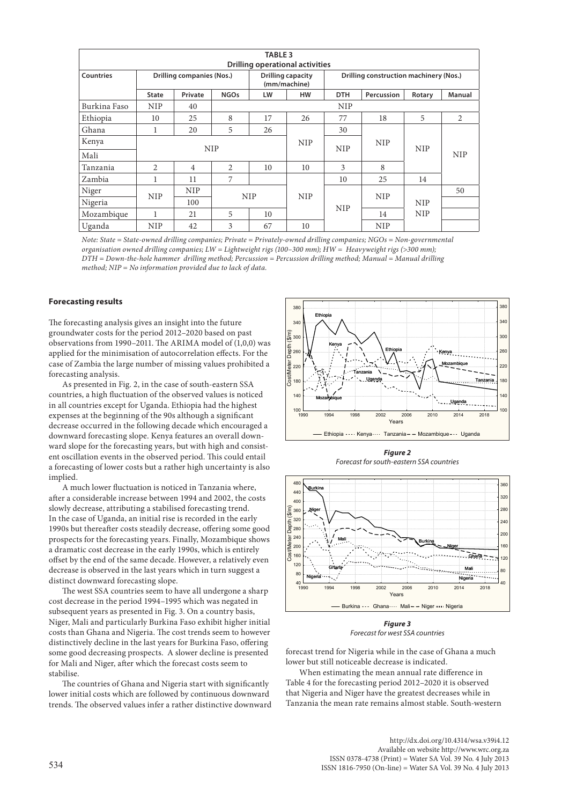| <b>TABLE 3</b><br><b>Drilling operational activities</b> |              |                                  |                |                                          |            |                                        |                  |                          |               |
|----------------------------------------------------------|--------------|----------------------------------|----------------|------------------------------------------|------------|----------------------------------------|------------------|--------------------------|---------------|
| Countries                                                |              | <b>Drilling companies (Nos.)</b> |                | <b>Drilling capacity</b><br>(mm/machine) |            | Drilling construction machinery (Nos.) |                  |                          |               |
|                                                          | <b>State</b> | Private                          | <b>NGOs</b>    | LW                                       | <b>HW</b>  | <b>DTH</b>                             | Percussion       | Rotary                   | <b>Manual</b> |
| Burkina Faso                                             | <b>NIP</b>   | 40                               |                | <b>NIP</b>                               |            |                                        |                  |                          |               |
| Ethiopia                                                 | 10           | 25                               | 8              | 17                                       | 26         | 77                                     | 18               | 5                        | 2             |
| Ghana                                                    | 1            | 20                               | 5              | 26                                       |            | 30                                     |                  |                          |               |
| Kenya                                                    |              |                                  | <b>NIP</b>     |                                          | <b>NIP</b> | <b>NIP</b>                             | <b>NIP</b>       | <b>NIP</b>               | <b>NIP</b>    |
| Mali                                                     |              |                                  |                |                                          |            |                                        |                  |                          |               |
| Tanzania                                                 | 2            | $\overline{4}$                   | $\overline{c}$ | 10                                       | 10         | 3                                      | 8                |                          |               |
| Zambia                                                   |              | 11                               | 7              |                                          |            | 10                                     | 25               | 14                       |               |
| Niger                                                    |              | <b>NIP</b>                       |                |                                          | <b>NIP</b> |                                        | <b>NIP</b><br>14 | <b>NIP</b><br><b>NIP</b> | 50            |
| Nigeria                                                  | <b>NIP</b>   | 100                              |                | <b>NIP</b>                               |            |                                        |                  |                          |               |
| Mozambique                                               | 1            | 21                               | 5              | 10                                       |            | <b>NIP</b>                             |                  |                          |               |
| Uganda                                                   | <b>NIP</b>   | 42                               | 3              | 67                                       | 10         |                                        | <b>NIP</b>       |                          |               |

*Note: State = State-owned drilling companies; Private = Privately-owned drilling companies; NGOs = Non-governmental organisation owned drilling companies; LW = Lightweight rigs (100–300 mm); HW = Heavyweight rigs (>300 mm); DTH = Down-the-hole hammer drilling method; Percussion = Percussion drilling method; Manual = Manual drilling method; NIP = No information provided due to lack of data.*

#### **Forecasting results**

The forecasting analysis gives an insight into the future groundwater costs for the period 2012–2020 based on past observations from 1990–2011. The ARIMA model of (1,0,0) was applied for the minimisation of autocorrelation effects. For the case of Zambia the large number of missing values prohibited a forecasting analysis.

As presented in Fig. 2, in the case of south-eastern SSA countries, a high fluctuation of the observed values is noticed in all countries except for Uganda. Ethiopia had the highest expenses at the beginning of the 90s although a significant decrease occurred in the following decade which encouraged a downward forecasting slope. Kenya features an overall downward slope for the forecasting years, but with high and consistent oscillation events in the observed period. This could entail a forecasting of lower costs but a rather high uncertainty is also implied.

A much lower fluctuation is noticed in Tanzania where, after a considerable increase between 1994 and 2002, the costs slowly decrease, attributing a stabilised forecasting trend. In the case of Uganda, an initial rise is recorded in the early 1990s but thereafter costs steadily decrease, offering some good prospects for the forecasting years. Finally, Mozambique shows a dramatic cost decrease in the early 1990s, which is entirely offset by the end of the same decade. However, a relatively even decrease is observed in the last years which in turn suggest a distinct downward forecasting slope.

The west SSA countries seem to have all undergone a sharp cost decrease in the period 1994–1995 which was negated in subsequent years as presented in Fig. 3. On a country basis, Niger, Mali and particularly Burkina Faso exhibit higher initial costs than Ghana and Nigeria. The cost trends seem to however distinctively decline in the last years for Burkina Faso, offering some good decreasing prospects. A slower decline is presented for Mali and Niger, after which the forecast costs seem to stabilise.

The countries of Ghana and Nigeria start with significantly lower initial costs which are followed by continuous downward trends. The observed values infer a rather distinctive downward



*Figure 2 Forecast for south-eastern SSA countries*



*Figure 3 Forecast for west SSA countries*

forecast trend for Nigeria while in the case of Ghana a much lower but still noticeable decrease is indicated.

When estimating the mean annual rate difference in Table 4 for the forecasting period 2012–2020 it is observed that Nigeria and Niger have the greatest decreases while in Tanzania the mean rate remains almost stable. South-western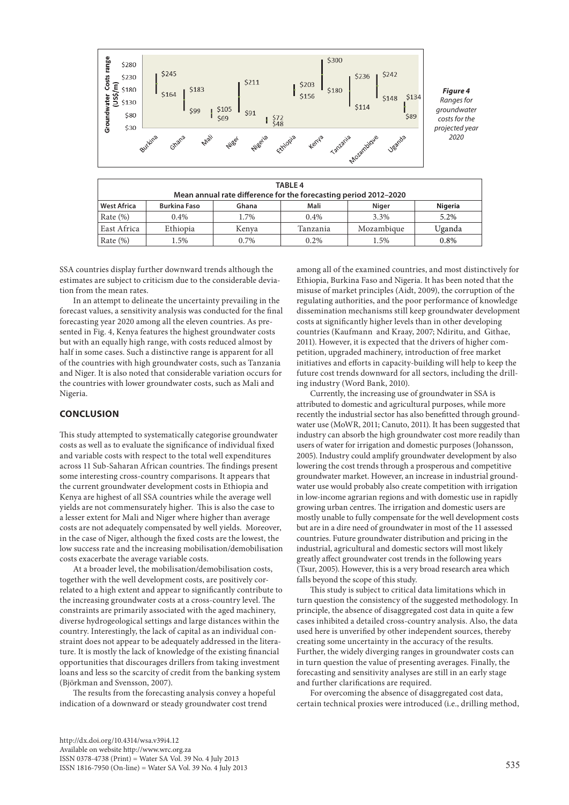

*Figure 4 Ranges for groundwater costs for the projected year 2020*

| <b>TABLE 4</b><br>Mean annual rate difference for the forecasting period 2012-2020 |                     |       |          |            |         |  |  |  |  |
|------------------------------------------------------------------------------------|---------------------|-------|----------|------------|---------|--|--|--|--|
| <b>West Africa</b>                                                                 | <b>Burkina Faso</b> | Ghana | Mali     | Niger      | Nigeria |  |  |  |  |
| Rate $(\%)$                                                                        | 0.4%                | 1.7%  | 0.4%     | 3.3%       | 5.2%    |  |  |  |  |
| East Africa                                                                        | Ethiopia            | Kenva | Tanzania | Mozambique | Uganda  |  |  |  |  |
| Rate $(\%)$                                                                        | 1.5%                | 0.7%  | 0.2%     | 1.5%       | 0.8%    |  |  |  |  |

SSA countries display further downward trends although the estimates are subject to criticism due to the considerable deviation from the mean rates.

In an attempt to delineate the uncertainty prevailing in the forecast values, a sensitivity analysis was conducted for the final forecasting year 2020 among all the eleven countries. As presented in Fig. 4, Kenya features the highest groundwater costs but with an equally high range, with costs reduced almost by half in some cases. Such a distinctive range is apparent for all of the countries with high groundwater costs, such as Tanzania and Niger. It is also noted that considerable variation occurs for the countries with lower groundwater costs, such as Mali and Nigeria.

# **CONCLUSION**

This study attempted to systematically categorise groundwater costs as well as to evaluate the significance of individual fixed and variable costs with respect to the total well expenditures across 11 Sub-Saharan African countries. The findings present some interesting cross-country comparisons. It appears that the current groundwater development costs in Ethiopia and Kenya are highest of all SSA countries while the average well yields are not commensurately higher. This is also the case to a lesser extent for Mali and Niger where higher than average costs are not adequately compensated by well yields. Moreover, in the case of Niger, although the fixed costs are the lowest, the low success rate and the increasing mobilisation/demobilisation costs exacerbate the average variable costs.

At a broader level, the mobilisation/demobilisation costs, together with the well development costs, are positively correlated to a high extent and appear to significantly contribute to the increasing groundwater costs at a cross-country level. The constraints are primarily associated with the aged machinery, diverse hydrogeological settings and large distances within the country. Interestingly, the lack of capital as an individual constraint does not appear to be adequately addressed in the literature. It is mostly the lack of knowledge of the existing financial opportunities that discourages drillers from taking investment loans and less so the scarcity of credit from the banking system (Björkman and Svensson, 2007).

The results from the forecasting analysis convey a hopeful indication of a downward or steady groundwater cost trend

among all of the examined countries, and most distinctively for Ethiopia, Burkina Faso and Nigeria. It has been noted that the misuse of market principles (Aidt, 2009), the corruption of the regulating authorities, and the poor performance of knowledge dissemination mechanisms still keep groundwater development costs at significantly higher levels than in other developing countries (Kaufmann and Kraay, 2007; Ndiritu, and Githae, 2011). However, it is expected that the drivers of higher competition, upgraded machinery, introduction of free market initiatives and efforts in capacity-building will help to keep the future cost trends downward for all sectors, including the drilling industry (Word Bank, 2010).

Currently, the increasing use of groundwater in SSA is attributed to domestic and agricultural purposes, while more recently the industrial sector has also benefitted through groundwater use (MoWR, 2011; Canuto, 2011). It has been suggested that industry can absorb the high groundwater cost more readily than users of water for irrigation and domestic purposes (Johansson, 2005). Industry could amplify groundwater development by also lowering the cost trends through a prosperous and competitive groundwater market. However, an increase in industrial groundwater use would probably also create competition with irrigation in low-income agrarian regions and with domestic use in rapidly growing urban centres. The irrigation and domestic users are mostly unable to fully compensate for the well development costs but are in a dire need of groundwater in most of the 11 assessed countries. Future groundwater distribution and pricing in the industrial, agricultural and domestic sectors will most likely greatly affect groundwater cost trends in the following years (Tsur, 2005). However, this is a very broad research area which falls beyond the scope of this study.

This study is subject to critical data limitations which in turn question the consistency of the suggested methodology. In principle, the absence of disaggregated cost data in quite a few cases inhibited a detailed cross-country analysis. Also, the data used here is unverified by other independent sources, thereby creating some uncertainty in the accuracy of the results. Further, the widely diverging ranges in groundwater costs can in turn question the value of presenting averages. Finally, the forecasting and sensitivity analyses are still in an early stage and further clarifications are required.

For overcoming the absence of disaggregated cost data, certain technical proxies were introduced (i.e., drilling method,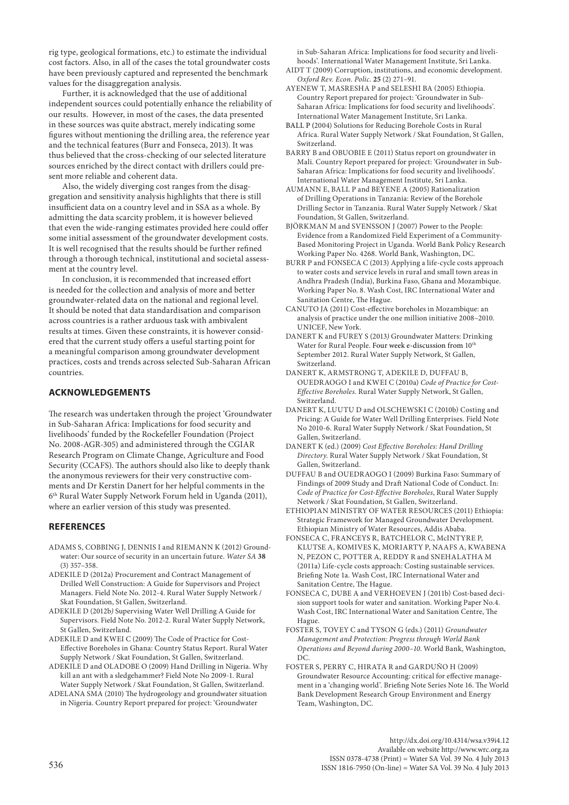rig type, geological formations, etc.) to estimate the individual cost factors. Also, in all of the cases the total groundwater costs have been previously captured and represented the benchmark values for the disaggregation analysis.

Further, it is acknowledged that the use of additional independent sources could potentially enhance the reliability of our results. However, in most of the cases, the data presented in these sources was quite abstract, merely indicating some figures without mentioning the drilling area, the reference year and the technical features (Burr and Fonseca, 2013). It was thus believed that the cross-checking of our selected literature sources enriched by the direct contact with drillers could present more reliable and coherent data.

Also, the widely diverging cost ranges from the disaggregation and sensitivity analysis highlights that there is still insufficient data on a country level and in SSA as a whole. By admitting the data scarcity problem, it is however believed that even the wide-ranging estimates provided here could offer some initial assessment of the groundwater development costs. It is well recognised that the results should be further refined through a thorough technical, institutional and societal assessment at the country level.

In conclusion, it is recommended that increased effort is needed for the collection and analysis of more and better groundwater-related data on the national and regional level. It should be noted that data standardisation and comparison across countries is a rather arduous task with ambivalent results at times. Given these constraints, it is however considered that the current study offers a useful starting point for a meaningful comparison among groundwater development practices, costs and trends across selected Sub-Saharan African countries.

## **ACKNOWLEDGEMENTS**

The research was undertaken through the project 'Groundwater in Sub-Saharan Africa: Implications for food security and livelihoods' funded by the Rockefeller Foundation (Project No. 2008-AGR-305) and administered through the CGIAR Research Program on Climate Change, Agriculture and Food Security (CCAFS). The authors should also like to deeply thank the anonymous reviewers for their very constructive comments and Dr Kerstin Danert for her helpful comments in the 6th Rural Water Supply Network Forum held in Uganda (2011), where an earlier version of this study was presented.

## **REFERENCES**

- ADAMS S, COBBING J, DENNIS I and RIEMANN K (2012) Groundwater: Our source of security in an uncertain future. *Water SA* **38** (3) 357–358.
- ADEKILE D (2012a) Procurement and Contract Management of Drilled Well Construction: A Guide for Supervisors and Project Managers. Field Note No. 2012-4. Rural Water Supply Network / Skat Foundation, St Gallen, Switzerland.
- ADEKILE D (2012b*)* Supervising Water Well Drilling A Guide for Supervisors. Field Note No. 2012-2. Rural Water Supply Network, St Gallen, Switzerland.
- ADEKILE D and KWEI C (2009) The Code of Practice for Cost-Effective Boreholes in Ghana: Country Status Report. Rural Water Supply Network / Skat Foundation, St Gallen, Switzerland.
- ADEKILE D and OLADOBE O (2009) Hand Drilling in Nigeria. Why kill an ant with a sledgehammer? Field Note No 2009-1. Rural Water Supply Network / Skat Foundation, St Gallen, Switzerland.
- ADELANA SMA (2010) The hydrogeology and groundwater situation in Nigeria. Country Report prepared for project: 'Groundwater

in Sub-Saharan Africa: Implications for food security and livelihoods'. International Water Management Institute, Sri Lanka. AIDT T (2009) Corruption, institutions, and economic development.

- *Oxford Rev. Econ. Polic.* **25** (2) 271–91. AYENEW T, MASRESHA P and SELESHI BA (2005) Ethiopia. Country Report prepared for project: 'Groundwater in Sub-
- Saharan Africa: Implications for food security and livelihoods'. International Water Management Institute, Sri Lanka.
- BALL P (2004) Solutions for Reducing Borehole Costs in Rural Africa. Rural Water Supply Network / Skat Foundation, St Gallen, Switzerland.
- BARRY B and OBUOBIE E (2011) Status report on groundwater in Mali. Country Report prepared for project: 'Groundwater in Sub-Saharan Africa: Implications for food security and livelihoods'. International Water Management Institute, Sri Lanka.
- AUMANN E, BALL P and BEYENE A (2005) Rationalization of Drilling Operations in Tanzania: Review of the Borehole Drilling Sector in Tanzania. Rural Water Supply Network / Skat Foundation, St Gallen, Switzerland.
- BJÖRKMAN M and SVENSSON J (2007) Power to the People: Evidence from a Randomized Field Experiment of a Community-Based Monitoring Project in Uganda. World Bank Policy Research Working Paper No. 4268. World Bank, Washington, DC.
- BURR P and FONSECA C (2013) Applying a life-cycle costs approach to water costs and service levels in rural and small town areas in Andhra Pradesh (India), Burkina Faso, Ghana and Mozambique. Working Paper No. 8. Wash Cost, IRC International Water and Sanitation Centre, The Hague.
- CANUTO JA (2011) Cost-effective boreholes in Mozambique: an analysis of practice under the one million initiative 2008–2010. UNICEF, New York.
- DANERT K and FUREY S (2013*)* Groundwater Matters: Drinking Water for Rural People. Four week e-discussion from  $10^{\text{th}}$ September 2012. Rural Water Supply Network, St Gallen, Switzerland.
- DANERT K, ARMSTRONG T, ADEKILE D, DUFFAU B, OUEDRAOGO I and KWEI C (2010a) *Code of Practice for Cost-Effective Boreholes.* Rural Water Supply Network, St Gallen, Switzerland.
- DANERT K, LUUTU D and OLSCHEWSKI C (2010b) Costing and Pricing: A Guide for Water Well Drilling Enterprises*.* Field Note No 2010-6. Rural Water Supply Network / Skat Foundation, St Gallen, Switzerland.
- DANERT K (ed.) (2009) *Cost Effective Boreholes: Hand Drilling Directory*. Rural Water Supply Network / Skat Foundation, St Gallen, Switzerland.
- DUFFAU B and OUEDRAOGO I (2009) Burkina Faso: Summary of Findings of 2009 Study and Draft National Code of Conduct. In: *Code of Practice for Cost-Effective Boreholes*, Rural Water Supply Network / Skat Foundation, St Gallen, Switzerland.
- ETHIOPIAN MINISTRY OF WATER RESOURCES (2011) Ethiopia: Strategic Framework for Managed Groundwater Development. Ethiopian Ministry of Water Resources, Addis Ababa.
- FONSECA C, FRANCEYS R, BATCHELOR C, McINTYRE P, KLUTSE A, KOMIVES K, MORIARTY P, NAAFS A, KWABENA N, PEZON C, POTTER A, REDDY R and SNEHALATHA M (2011a) Life-cycle costs approach: Costing sustainable services. Briefing Note 1a. Wash Cost, IRC International Water and Sanitation Centre, The Hague.
- FONSECA C, DUBE A and VERHOEVEN J (2011b) Cost-based decision support tools for water and sanitation. Working Paper No.4. Wash Cost, IRC International Water and Sanitation Centre, The Hague.
- FOSTER S, TOVEY C and TYSON G (eds.) (2011) *Groundwater Management and Protection: Progress through World Bank Operations and Beyond during 2000–10*. World Bank, Washington, DC.
- FOSTER S, PERRY C, HIRATA R and GARDUÑO H (2009) Groundwater Resource Accounting: critical for effective management in a 'changing world'. Briefing Note Series Note 16. The World Bank Development Research Group Environment and Energy Team, Washington, DC.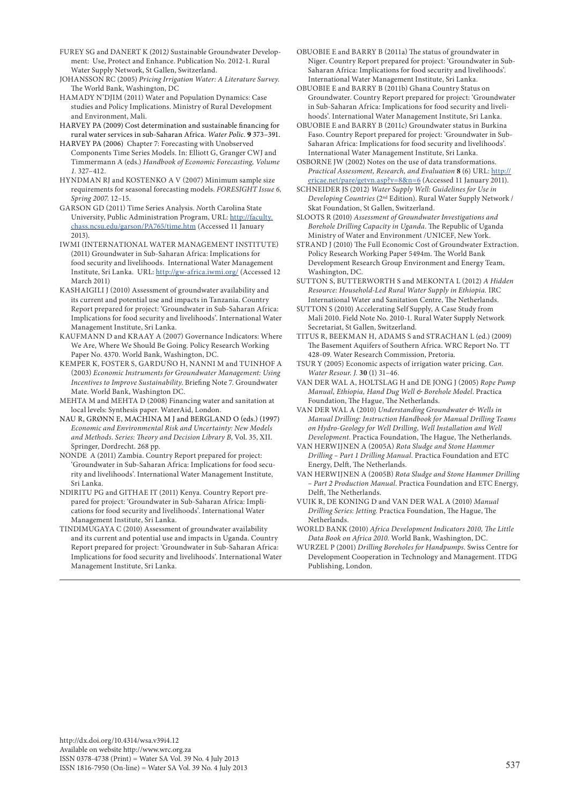- FUREY SG and DANERT K (2012*)* Sustainable Groundwater Development: Use, Protect and Enhance. Publication No. 2012-1. Rural Water Supply Network, St Gallen, Switzerland.
- JOHANSSON RC (2005) *Pricing Irrigation Water: A Literature Survey.* The World Bank, Washington, DC
- HAMADY N'DJIM (2011) Water and Population Dynamics: Case studies and Policy Implications. Ministry of Rural Development and Environment, Mali.
- HARVEY PA (2009) Cost determination and sustainable financing for rural water services in sub-Saharan Africa. *Water Polic.* **9** 373–391.
- HARVEY PA (2006)Chapter 7: Forecasting with Unobserved Components Time Series Models. In: Elliott G, Granger CWJ and Timmermann A (eds.) *Handbook of Economic Forecasting, Volume 1.* 327–412.
- HYNDMAN RJ and KOSTENKO A V (2007) Minimum sample size requirements for seasonal forecasting models. *FORESIGHT Issue 6, Spring 2007*. 12–15.
- GARSON GD (2011) Time Series Analysis. *N*orth Carolina State University, Public Administration Program, URL: http://faculty. chass.ncsu.edu/garson/PA765/time.htm (Accessed 11 January 2013).
- IWMI (INTERNATIONAL WATER MANAGEMENT INSTITUTE) (2011) Groundwater in Sub-Saharan Africa: Implications for food security and livelihoods. International Water Management Institute, Sri Lanka. URL: http://gw-africa.iwmi.org/ (Accessed 12 March 2011)
- KASHAIGILI J (2010) Assessment of groundwater availability and its current and potential use and impacts in Tanzania. Country Report prepared for project: 'Groundwater in Sub-Saharan Africa: Implications for food security and livelihoods'. International Water Management Institute, Sri Lanka.
- KAUFMANN D and KRAAY A (2007) Governance Indicators: Where We Are, Where We Should Be Going. Policy Research Working Paper No. 4370. World Bank, Washington, DC.
- KEMPER K, FOSTER S, GARDUÑO H, NANNI M and TUINHOF A (2003) *Economic Instruments for Groundwater Management: Using Incentives to Improve Sustainability*. Briefing Note 7. Groundwater Mate. World Bank, Washington DC.
- MEHTA M and MEHTA D (2008) Financing water and sanitation at local levels: Synthesis paper. WaterAid, London.
- NAU R, GRØNN E, MACHINA M J and BERGLAND O (eds.) (1997) *Economic and Environmental Risk and Uncertainty: New Models and Methods*. *Series: Theory and Decision Library B*, Vol. 35, XII. Springer, Dordrecht. 268 pp.
- NONDE A (2011) Zambia. Country Report prepared for project: 'Groundwater in Sub-Saharan Africa: Implications for food security and livelihoods'. International Water Management Institute, Sri Lanka.
- NDIRITU PG and GITHAE IT (2011) Kenya. Country Report prepared for project: 'Groundwater in Sub-Saharan Africa: Implications for food security and livelihoods'. International Water Management Institute, Sri Lanka.
- TINDIMUGAYA C (2010) Assessment of groundwater availability and its current and potential use and impacts in Uganda. Country Report prepared for project: 'Groundwater in Sub-Saharan Africa: Implications for food security and livelihoods'. International Water Management Institute, Sri Lanka.
- OBUOBIE E and BARRY B (2011a) The status of groundwater in Niger. Country Report prepared for project: 'Groundwater in Sub-Saharan Africa: Implications for food security and livelihoods'. International Water Management Institute, Sri Lanka.
- OBUOBIE E and BARRY B (2011b) Ghana Country Status on Groundwater. Country Report prepared for project: 'Groundwater in Sub-Saharan Africa: Implications for food security and livelihoods'. International Water Management Institute, Sri Lanka.
- OBUOBIE E and BARRY B (2011c) Groundwater status in Burkina Faso. Country Report prepared for project: 'Groundwater in Sub-Saharan Africa: Implications for food security and livelihoods'. International Water Management Institute, Sri Lanka.

OSBORNE JW (2002) Notes on the use of data transformations. *Practical Assessment, Research, and Evaluation* **8** (6) URL: http:// ericae.net/pare/getvn.asp?v=8&n=6 (Accessed 11 January 2011).

- SCHNEIDER JS (2012) *Water Supply Well: Guidelines for Use in Developing Countries* (2nd Edition). Rural Water Supply Network / Skat Foundation, St Gallen, Switzerland.
- SLOOTS R (2010) *Assessment of Groundwater Investigations and Borehole Drilling Capacity in Uganda*. The Republic of Uganda Ministry of Water and Environment /UNICEF, New York.
- STRAND J (2010) The Full Economic Cost of Groundwater Extraction. Policy Research Working Paper 5494m. The World Bank Development Research Group Environment and Energy Team, Washington, DC.
- SUTTON S, BUTTERWORTH S and MEKONTA L (2012) *A Hidden Resource: Household-Led Rural Water Supply in Ethiopia.* IRC International Water and Sanitation Centre, The Netherlands.
- SUTTON S (2010) Accelerating Self Supply, A Case Study from Mali 2010. Field Note No. 2010-1. Rural Water Supply Network Secretariat, St Gallen, Switzerland.
- TITUS R, BEEKMAN H, ADAMS S and STRACHAN L (ed.) (2009) The Basement Aquifers of Southern Africa. WRC Report No. TT 428-09. Water Research Commission, Pretoria.
- TSUR Y (2005) Economic aspects of irrigation water pricing. *Can. Water Resour. J.* **30** (1) 31–46.
- VAN DER WAL A, HOLTSLAG H and DE JONG J (2005) *Rope Pump Manual, Ethiopia, Hand Dug Well & Borehole Model*. Practica Foundation, The Hague, The Netherlands.
- VAN DER WAL A (2010) *Understanding Groundwater & Wells in Manual Drilling: Instruction Handbook for Manual Drilling Teams on Hydro-Geology for Well Drilling, Well Installation and Well Development.* Practica Foundation, The Hague, The Netherlands.
- VAN HERWIJNEN A (2005A) *Rota Sludge and Stone Hammer Drilling – Part 1 Drilling Manual.* Practica Foundation and ETC Energy, Delft, The Netherlands.
- VAN HERWIJNEN A (2005B) *Rota Sludge and Stone Hammer Drilling – Part 2 Production Manual*. Practica Foundation and ETC Energy, Delft, The Netherlands.
- VUIK R, DE KONING D and VAN DER WAL A (2010) *Manual Drilling Series: Jetting.* Practica Foundation, The Hague, The Netherlands.
- WORLD BANK (2010) *Africa Development Indicators 2010, The Little Data Book on Africa 2010.* World Bank, Washington, DC.
- WURZEL P (2001) *Drilling Boreholes for Handpumps*. Swiss Centre for Development Cooperation in Technology and Management. ITDG Publishing, London.